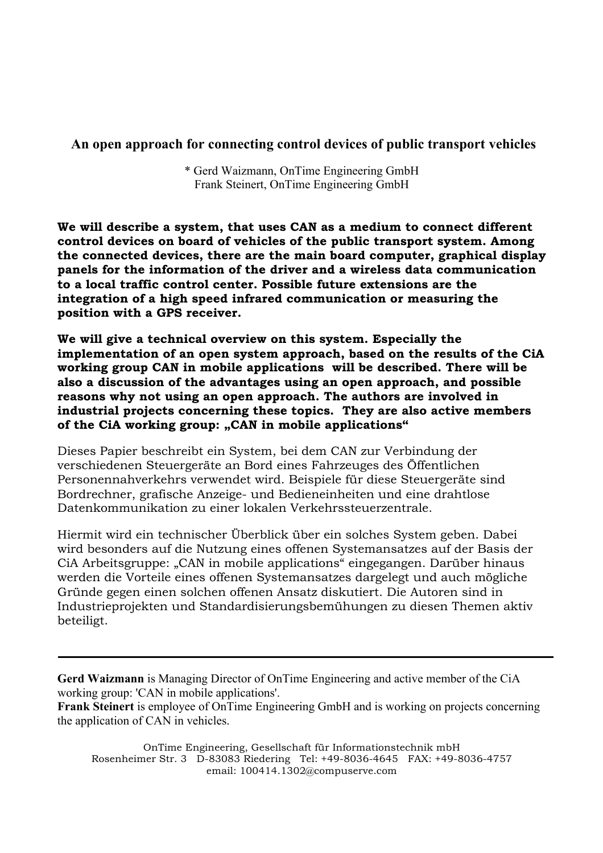### **An open approach for connecting control devices of public transport vehicles**

\* Gerd Waizmann, OnTime Engineering GmbH Frank Steinert, OnTime Engineering GmbH

**We will describe a system, that uses CAN as a medium to connect different control devices on board of vehicles of the public transport system. Among the connected devices, there are the main board computer, graphical display panels for the information of the driver and a wireless data communication to a local traffic control center. Possible future extensions are the integration of a high speed infrared communication or measuring the position with a GPS receiver.**

**We will give a technical overview on this system. Especially the implementation of an open system approach, based on the results of the CiA working group CAN in mobile applications will be described. There will be also a discussion of the advantages using an open approach, and possible reasons why not using an open approach. The authors are involved in industrial projects concerning these topics. They are also active members**  of the CiA working group: "CAN in mobile applications"

Dieses Papier beschreibt ein System, bei dem CAN zur Verbindung der verschiedenen Steuergeräte an Bord eines Fahrzeuges des Öffentlichen Personennahverkehrs verwendet wird. Beispiele für diese Steuergeräte sind Bordrechner, grafische Anzeige- und Bedieneinheiten und eine drahtlose Datenkommunikation zu einer lokalen Verkehrssteuerzentrale.

Hiermit wird ein technischer Überblick über ein solches System geben. Dabei wird besonders auf die Nutzung eines offenen Systemansatzes auf der Basis der CiA Arbeitsgruppe: "CAN in mobile applications" eingegangen. Darüber hinaus werden die Vorteile eines offenen Systemansatzes dargelegt und auch mögliche Gründe gegen einen solchen offenen Ansatz diskutiert. Die Autoren sind in Industrieprojekten und Standardisierungsbemühungen zu diesen Themen aktiv beteiligt.

**Gerd Waizmann** is Managing Director of OnTime Engineering and active member of the CiA working group: 'CAN in mobile applications'.

**Frank Steinert** is employee of OnTime Engineering GmbH and is working on projects concerning the application of CAN in vehicles.

OnTime Engineering, Gesellschaft für Informationstechnik mbH Rosenheimer Str. 3 D-83083 Riedering Tel: +49-8036-4645 FAX: +49-8036-4757 email: 100414.1302@compuserve.com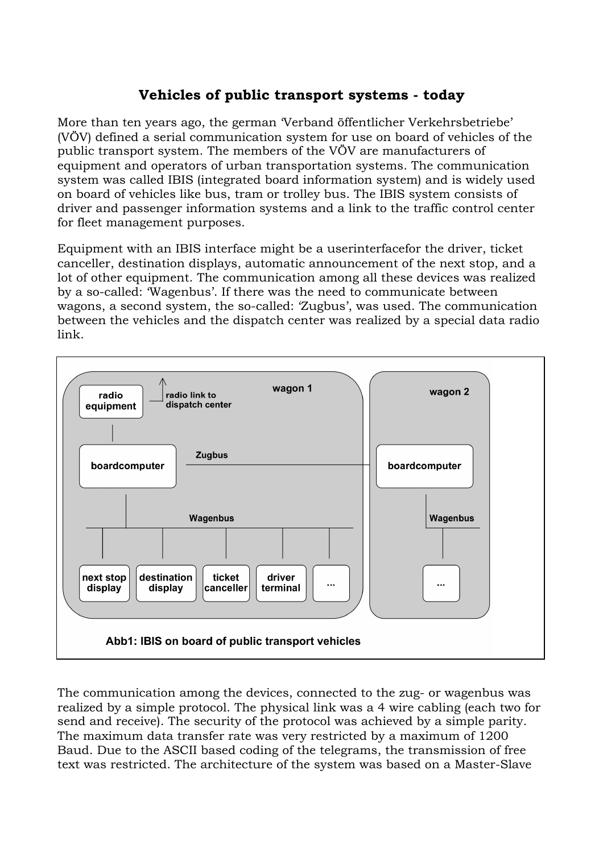# **Vehicles of public transport systems - today**

More than ten years ago, the german 'Verband öffentlicher Verkehrsbetriebe' (VÖV) defined a serial communication system for use on board of vehicles of the public transport system. The members of the VÖV are manufacturers of equipment and operators of urban transportation systems. The communication system was called IBIS (integrated board information system) and is widely used on board of vehicles like bus, tram or trolley bus. The IBIS system consists of driver and passenger information systems and a link to the traffic control center for fleet management purposes.

Equipment with an IBIS interface might be a userinterfacefor the driver, ticket canceller, destination displays, automatic announcement of the next stop, and a lot of other equipment. The communication among all these devices was realized by a so-called: 'Wagenbus'. If there was the need to communicate between wagons, a second system, the so-called: 'Zugbus', was used. The communication between the vehicles and the dispatch center was realized by a special data radio link.



The communication among the devices, connected to the zug- or wagenbus was realized by a simple protocol. The physical link was a 4 wire cabling (each two for send and receive). The security of the protocol was achieved by a simple parity. The maximum data transfer rate was very restricted by a maximum of 1200 Baud. Due to the ASCII based coding of the telegrams, the transmission of free text was restricted. The architecture of the system was based on a Master-Slave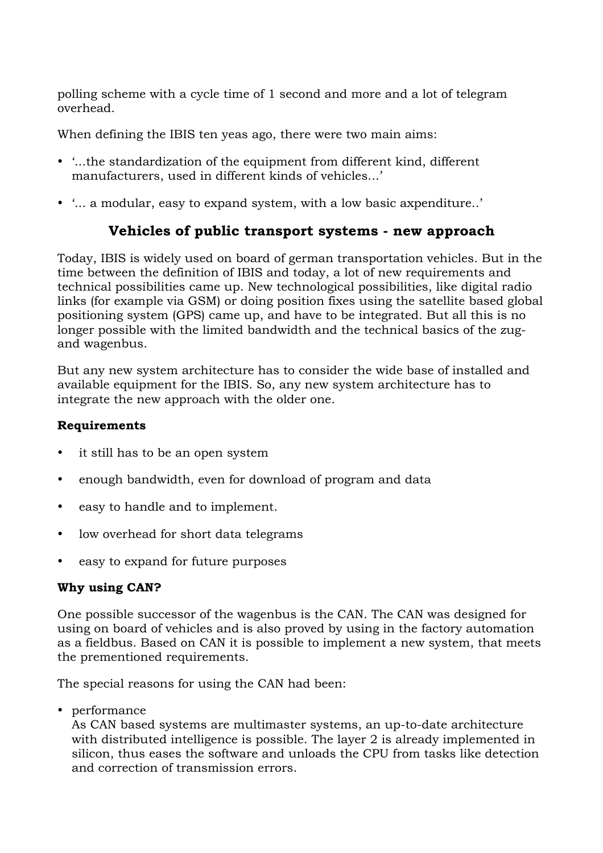polling scheme with a cycle time of 1 second and more and a lot of telegram overhead.

When defining the IBIS ten yeas ago, there were two main aims:

- '...the standardization of the equipment from different kind, different manufacturers, used in different kinds of vehicles...'
- '... a modular, easy to expand system, with a low basic axpenditure..'

## **Vehicles of public transport systems - new approach**

Today, IBIS is widely used on board of german transportation vehicles. But in the time between the definition of IBIS and today, a lot of new requirements and technical possibilities came up. New technological possibilities, like digital radio links (for example via GSM) or doing position fixes using the satellite based global positioning system (GPS) came up, and have to be integrated. But all this is no longer possible with the limited bandwidth and the technical basics of the zugand wagenbus.

But any new system architecture has to consider the wide base of installed and available equipment for the IBIS. So, any new system architecture has to integrate the new approach with the older one.

#### **Requirements**

- it still has to be an open system
- enough bandwidth, even for download of program and data
- easy to handle and to implement.
- low overhead for short data telegrams
- easy to expand for future purposes

### **Why using CAN?**

One possible successor of the wagenbus is the CAN. The CAN was designed for using on board of vehicles and is also proved by using in the factory automation as a fieldbus. Based on CAN it is possible to implement a new system, that meets the prementioned requirements.

The special reasons for using the CAN had been:

• performance

As CAN based systems are multimaster systems, an up-to-date architecture with distributed intelligence is possible. The layer 2 is already implemented in silicon, thus eases the software and unloads the CPU from tasks like detection and correction of transmission errors.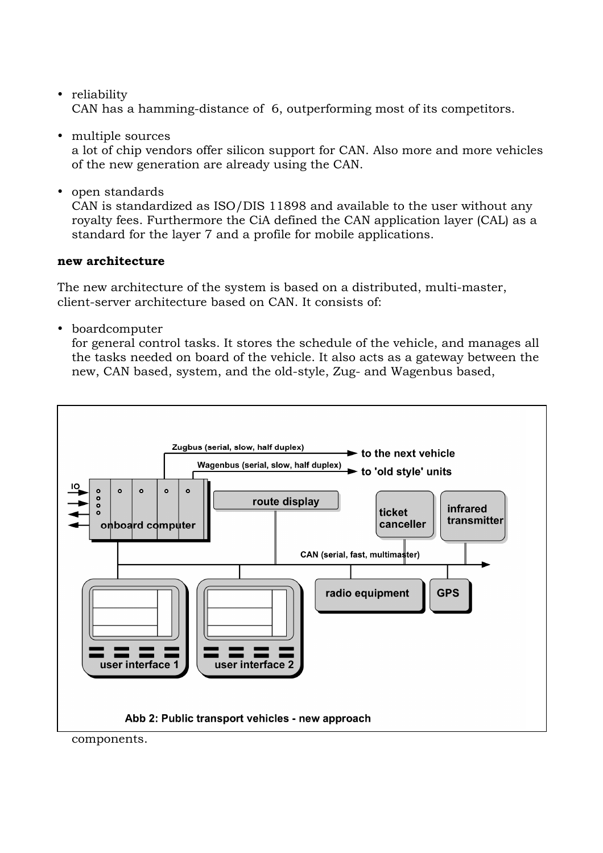- reliability CAN has a hamming-distance of 6, outperforming most of its competitors.
- multiple sources a lot of chip vendors offer silicon support for CAN. Also more and more vehicles of the new generation are already using the CAN.
- open standards

CAN is standardized as ISO/DIS 11898 and available to the user without any royalty fees. Furthermore the CiA defined the CAN application layer (CAL) as a standard for the layer 7 and a profile for mobile applications.

#### **new architecture**

The new architecture of the system is based on a distributed, multi-master, client-server architecture based on CAN. It consists of:

• boardcomputer

for general control tasks. It stores the schedule of the vehicle, and manages all the tasks needed on board of the vehicle. It also acts as a gateway between the new, CAN based, system, and the old-style, Zug- and Wagenbus based,



components.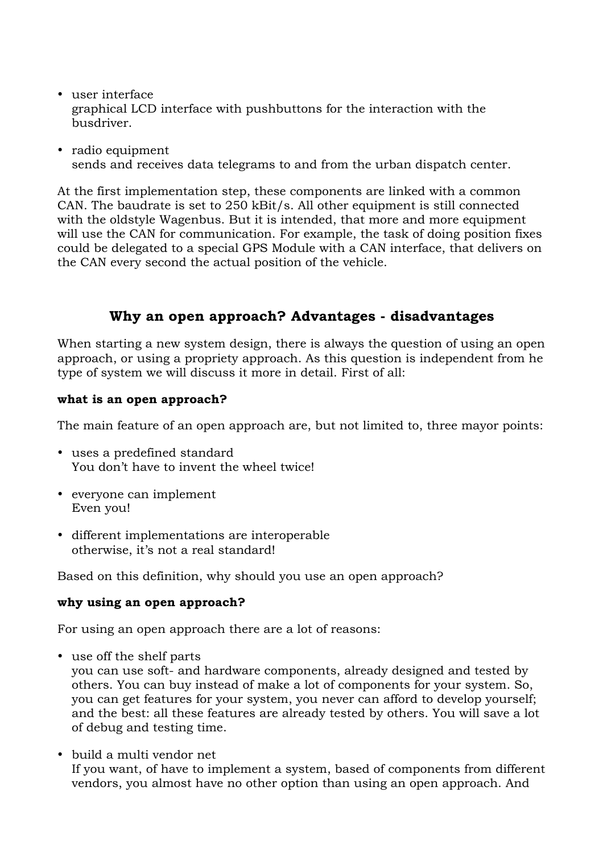- user interface graphical LCD interface with pushbuttons for the interaction with the busdriver.
- radio equipment sends and receives data telegrams to and from the urban dispatch center.

At the first implementation step, these components are linked with a common CAN. The baudrate is set to 250 kBit/s. All other equipment is still connected with the oldstyle Wagenbus. But it is intended, that more and more equipment will use the CAN for communication. For example, the task of doing position fixes could be delegated to a special GPS Module with a CAN interface, that delivers on the CAN every second the actual position of the vehicle.

## **Why an open approach? Advantages - disadvantages**

When starting a new system design, there is always the question of using an open approach, or using a propriety approach. As this question is independent from he type of system we will discuss it more in detail. First of all:

#### **what is an open approach?**

The main feature of an open approach are, but not limited to, three mayor points:

- uses a predefined standard You don't have to invent the wheel twice!
- everyone can implement Even you!
- different implementations are interoperable otherwise, it's not a real standard!

Based on this definition, why should you use an open approach?

#### **why using an open approach?**

For using an open approach there are a lot of reasons:

• use off the shelf parts

you can use soft- and hardware components, already designed and tested by others. You can buy instead of make a lot of components for your system. So, you can get features for your system, you never can afford to develop yourself; and the best: all these features are already tested by others. You will save a lot of debug and testing time.

• build a multi vendor net If you want, of have to implement a system, based of components from different vendors, you almost have no other option than using an open approach. And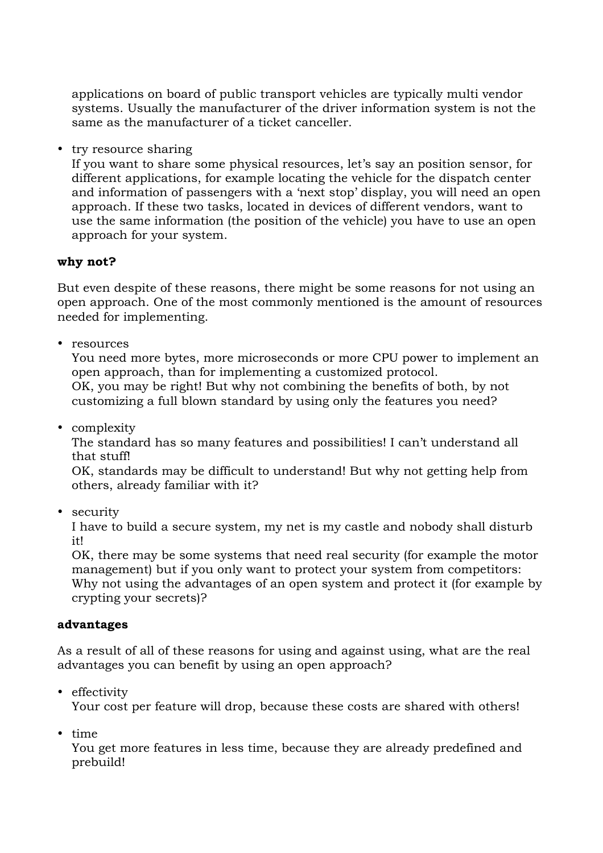applications on board of public transport vehicles are typically multi vendor systems. Usually the manufacturer of the driver information system is not the same as the manufacturer of a ticket canceller.

• try resource sharing

If you want to share some physical resources, let's say an position sensor, for different applications, for example locating the vehicle for the dispatch center and information of passengers with a 'next stop' display, you will need an open approach. If these two tasks, located in devices of different vendors, want to use the same information (the position of the vehicle) you have to use an open approach for your system.

#### **why not?**

But even despite of these reasons, there might be some reasons for not using an open approach. One of the most commonly mentioned is the amount of resources needed for implementing.

• resources

You need more bytes, more microseconds or more CPU power to implement an open approach, than for implementing a customized protocol. OK, you may be right! But why not combining the benefits of both, by not customizing a full blown standard by using only the features you need?

• complexity

The standard has so many features and possibilities! I can't understand all that stuff!

OK, standards may be difficult to understand! But why not getting help from others, already familiar with it?

• security

I have to build a secure system, my net is my castle and nobody shall disturb it!

OK, there may be some systems that need real security (for example the motor management) but if you only want to protect your system from competitors: Why not using the advantages of an open system and protect it (for example by crypting your secrets)?

#### **advantages**

As a result of all of these reasons for using and against using, what are the real advantages you can benefit by using an open approach?

• effectivity

Your cost per feature will drop, because these costs are shared with others!

• time

You get more features in less time, because they are already predefined and prebuild!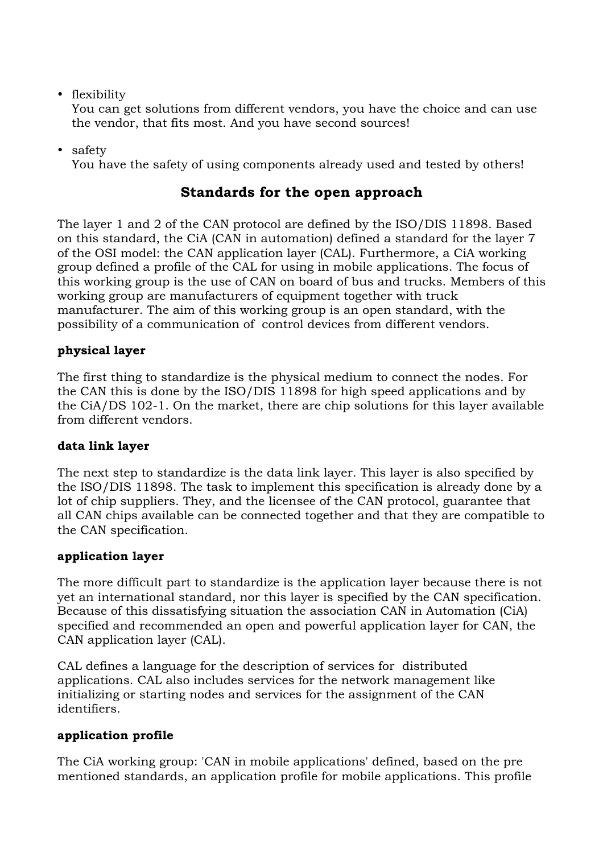• flexibility

You can get solutions from different vendors, you have the choice and can use the vendor, that fits most. And you have second sources!

• safety

You have the safety of using components already used and tested by others!

## **Standards for the open approach**

The layer 1 and 2 of the CAN protocol are defined by the ISO/DIS 11898. Based on this standard, the CiA (CAN in automation) defined a standard for the layer 7 of the OSI model: the CAN application layer (CAL). Furthermore, a CiA working group defined a profile of the CAL for using in mobile applications. The focus of this working group is the use of CAN on board of bus and trucks. Members of this working group are manufacturers of equipment together with truck manufacturer. The aim of this working group is an open standard, with the possibility of a communication of control devices from different vendors.

## **physical layer**

The first thing to standardize is the physical medium to connect the nodes. For the CAN this is done by the ISO/DIS 11898 for high speed applications and by the CiA/DS 102-1. On the market, there are chip solutions for this layer available from different vendors.

### **data link layer**

The next step to standardize is the data link layer. This layer is also specified by the ISO/DIS 11898. The task to implement this specification is already done by a lot of chip suppliers. They, and the licensee of the CAN protocol, guarantee that all CAN chips available can be connected together and that they are compatible to the CAN specification.

### **application layer**

The more difficult part to standardize is the application layer because there is not yet an international standard, nor this layer is specified by the CAN specification. Because of this dissatisfying situation the association CAN in Automation (CiA) specified and recommended an open and powerful application layer for CAN, the CAN application layer (CAL).

CAL defines a language for the description of services for distributed applications. CAL also includes services for the network management like initializing or starting nodes and services for the assignment of the CAN identifiers.

### **application profile**

The CiA working group: 'CAN in mobile applications' defined, based on the pre mentioned standards, an application profile for mobile applications. This profile